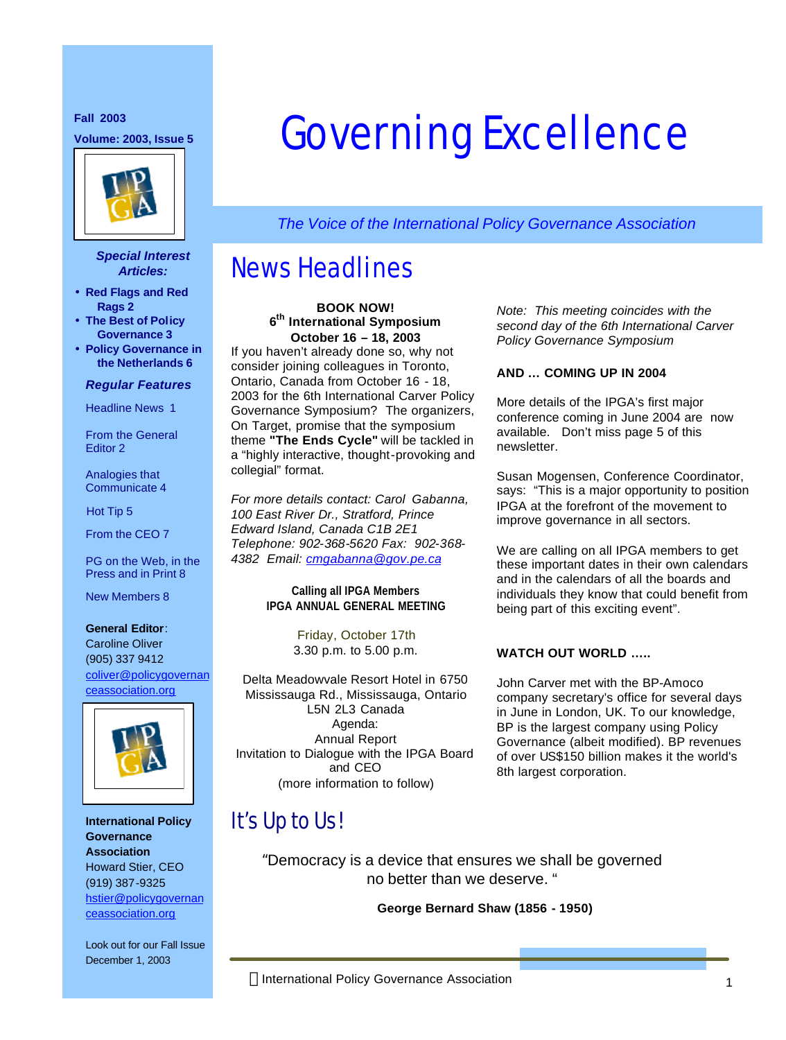**Fall 2003**



#### *Special Interest Articles:*

- **Red Flags and Red Rags 2**
- **The Best of Policy Governance 3**
- **Policy Governance in the Netherlands 6**

#### *Regular Features*

Headline News 1

From the General Editor 2

Analogies that Communicate 4

Hot Tip 5

From the CEO 7

PG on the Web, in the Press and in Print 8

New Members 8

#### **General Editor**:

Caroline Oliver (905) 337 9412 coliver@policygovernan ceassociation.org



**International Policy Governance Association** Howard Stier, CEO (919) 387-9325 hstier@policygovernan ceassociation.org

Look out for our Fall Issue December 1, 2003

# **Fall 2003**<br>Volume: 2003, Issue 5 **Governing Excellence**

*The Voice of the International Policy Governance Association*

# News Headlines

**BOOK NOW! 6 th International Symposium October 16 – 18, 2003**

If you haven't already done so, why not consider joining colleagues in Toronto, Ontario, Canada from October 16 - 18, 2003 for the 6th International Carver Policy Governance Symposium? The organizers, On Target, promise that the symposium theme **"The Ends Cycle"** will be tackled in a "highly interactive, thought-provoking and collegial" format.

*For more details contact: Carol Gabanna, 100 East River Dr., Stratford, Prince Edward Island, Canada C1B 2E1 Telephone: 902-368-5620 Fax: 902-368- 4382 Email: cmgabanna@gov.pe.ca* 

> **Calling all IPGA Members IPGA ANNUAL GENERAL MEETING**

> > Friday, October 17th 3.30 p.m. to 5.00 p.m.

Delta Meadowvale Resort Hotel in 6750 Mississauga Rd., Mississauga, Ontario L5N 2L3 Canada Agenda: Annual Report Invitation to Dialogue with the IPGA Board and CEO (more information to follow)

*Note: This meeting coincides with the second day of the 6th International Carver Policy Governance Symposium* 

#### **AND … COMING UP IN 2004**

More details of the IPGA's first major conference coming in June 2004 are now available. Don't miss page 5 of this newsletter.

Susan Mogensen, Conference Coordinator, says: "This is a major opportunity to position IPGA at the forefront of the movement to improve governance in all sectors.

We are calling on all IPGA members to get these important dates in their own calendars and in the calendars of all the boards and individuals they know that could benefit from being part of this exciting event".

#### **WATCH OUT WORLD …..**

John Carver met with the BP-Amoco company secretary's office for several days in June in London, UK. To our knowledge, BP is the largest company using Policy Governance (albeit modified). BP revenues of over US\$150 billion makes it the world's 8th largest corporation.

# It's Up to Us!

"Democracy is a device that ensures we shall be governed no better than we deserve. "

**George Bernard Shaw (1856 - 1950)**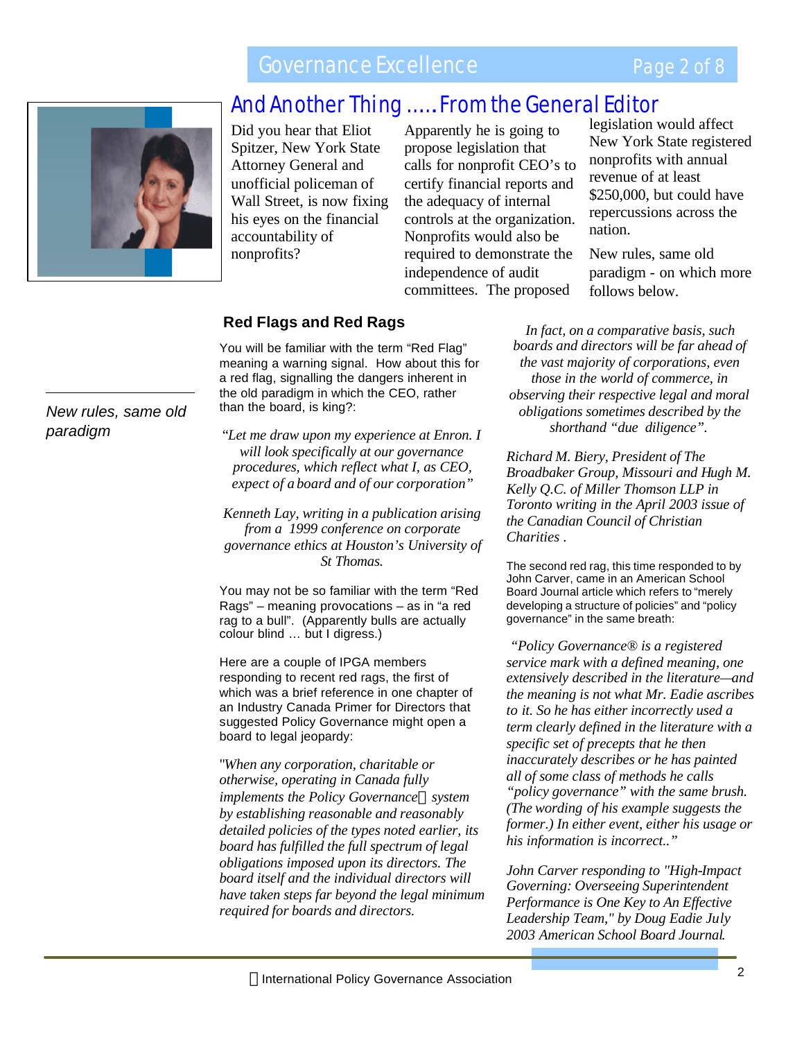# Governance Excellence

## Page 2 of 8



# And Another Thing ……. From the General Editor

Did you hear that Eliot Did you hear that Eliot<br>Spitzer, New York State Attorney General and unofficial policeman of Wall Street, is now fixing his eyes on the financial accountability of nonprofits?

Apparently he is going to propose legislation that calls for nonprofit CEO's to certify financial reports and the adequacy of internal controls at the organization. Nonprofits would also be required to demonstrate the independence of audit committees. The proposed

legislation would affect New York State registered nonprofits with annual revenue of at least \$250,000, but could have repercussions across the nation.

New rules, same old paradigm - on which more follows below.

#### **Red Flags and Red Rags**

You will be familiar with the term "Red Flag" meaning a warning signal. How about this for a red flag, signalling the dangers inherent in the old paradigm in which the CEO, rather than the board, is king?:

"*Let me draw upon my experience at Enron. I will look specifically at our governance procedures, which reflect what I, as CEO, expect of a board and of our corporation"*

*Kenneth Lay, writing in a publication arising from a 1999 conference on corporate governance ethics at Houston's University of St Thomas.*

You may not be so familiar with the term "Red Rags" – meaning provocations – as in "a red rag to a bull". (Apparently bulls are actually colour blind … but I digress.)

Here are a couple of IPGA members responding to recent red rags, the first of which was a brief reference in one chapter of an Industry Canada Primer for Directors that suggested Policy Governance might open a board to legal jeopardy:

"*When any corporation, charitable or otherwise, operating in Canada fully implements the Policy Governanceâ system by establishing reasonable and reasonably detailed policies of the types noted earlier, its board has fulfilled the full spectrum of legal obligations imposed upon its directors. The board itself and the individual directors will have taken steps far beyond the legal minimum required for boards and directors.*

*In fact, on a comparative basis, such boards and directors will be far ahead of the vast majority of corporations, even those in the world of commerce, in observing their respective legal and moral obligations sometimes described by the shorthand "due diligence".*

*Richard M. Biery, President of The Broadbaker Group, Missouri and Hugh M. Kelly Q.C. of Miller Thomson LLP in Toronto writing in the April 2003 issue of the Canadian Council of Christian Charities .*

The second red rag, this time responded to by John Carver, came in an American School Board Journal article which refers to "merely developing a structure of policies" and "policy governance" in the same breath:

 *"Policy Governance® is a registered service mark with a defined meaning, one extensively described in the literature—and the meaning is not what Mr. Eadie ascribes to it. So he has either incorrectly used a term clearly defined in the literature with a specific set of precepts that he then inaccurately describes or he has painted all of some class of methods he calls "policy governance" with the same brush. (The wording of his example suggests the former.) In either event, either his usage or his information is incorrect.."*

*John Carver responding to "High-Impact Governing: Overseeing Superintendent Performance is One Key to An Effective Leadership Team," by Doug Eadie July 2003 American School Board Journal.*

*New rules, same old paradigm*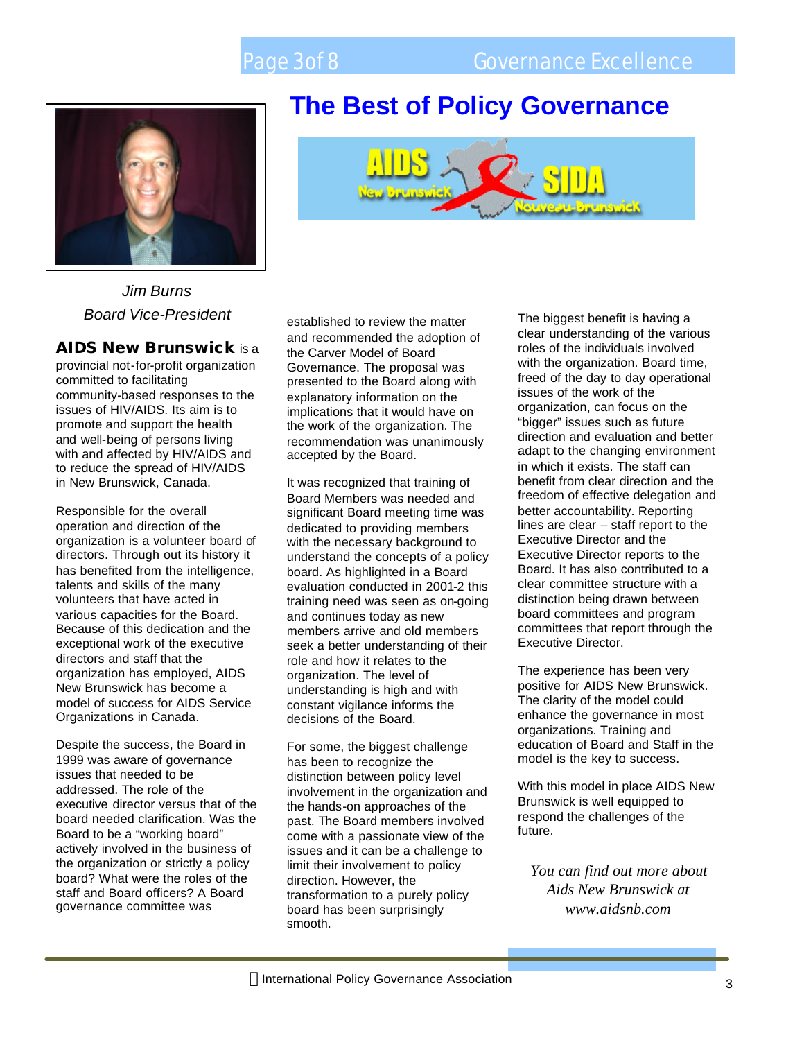

*Jim Burns Board Vice-President*

#### **AIDS New Brunswick** is a

provincial not-for-profit organization committed to facilitating community-based responses to the issues of HIV/AIDS. Its aim is to promote and support the health and well-being of persons living with and affected by HIV/AIDS and to reduce the spread of HIV/AIDS in New Brunswick, Canada.

Responsible for the overall operation and direction of the organization is a volunteer board of directors. Through out its history it has benefited from the intelligence, talents and skills of the many volunteers that have acted in various capacities for the Board. Because of this dedication and the exceptional work of the executive directors and staff that the organization has employed, AIDS New Brunswick has become a model of success for AIDS Service Organizations in Canada.

Despite the success, the Board in 1999 was aware of governance issues that needed to be addressed. The role of the executive director versus that of the board needed clarification. Was the Board to be a "working board" actively involved in the business of the organization or strictly a policy board? What were the roles of the staff and Board officers? A Board governance committee was



**The Best of Policy Governance** 

established to review the matter and recommended the adoption of the Carver Model of Board Governance. The proposal was presented to the Board along with explanatory information on the implications that it would have on the work of the organization. The recommendation was unanimously accepted by the Board.

It was recognized that training of Board Members was needed and significant Board meeting time was dedicated to providing members with the necessary background to understand the concepts of a policy board. As highlighted in a Board evaluation conducted in 2001-2 this training need was seen as on-going and continues today as new members arrive and old members seek a better understanding of their role and how it relates to the organization. The level of understanding is high and with constant vigilance informs the decisions of the Board.

For some, the biggest challenge has been to recognize the distinction between policy level involvement in the organization and the hands-on approaches of the past. The Board members involved come with a passionate view of the issues and it can be a challenge to limit their involvement to policy direction. However, the transformation to a purely policy board has been surprisingly smooth.

The biggest benefit is having a clear understanding of the various roles of the individuals involved with the organization. Board time, freed of the day to day operational issues of the work of the organization, can focus on the "bigger" issues such as future direction and evaluation and better adapt to the changing environment in which it exists. The staff can benefit from clear direction and the freedom of effective delegation and better accountability. Reporting lines are clear – staff report to the Executive Director and the Executive Director reports to the Board. It has also contributed to a clear committee structure with a distinction being drawn between board committees and program committees that report through the Executive Director.

The experience has been very positive for AIDS New Brunswick. The clarity of the model could enhance the governance in most organizations. Training and education of Board and Staff in the model is the key to success.

With this model in place AIDS New Brunswick is well equipped to respond the challenges of the future.

*You can find out more about Aids New Brunswick at www.aidsnb.com*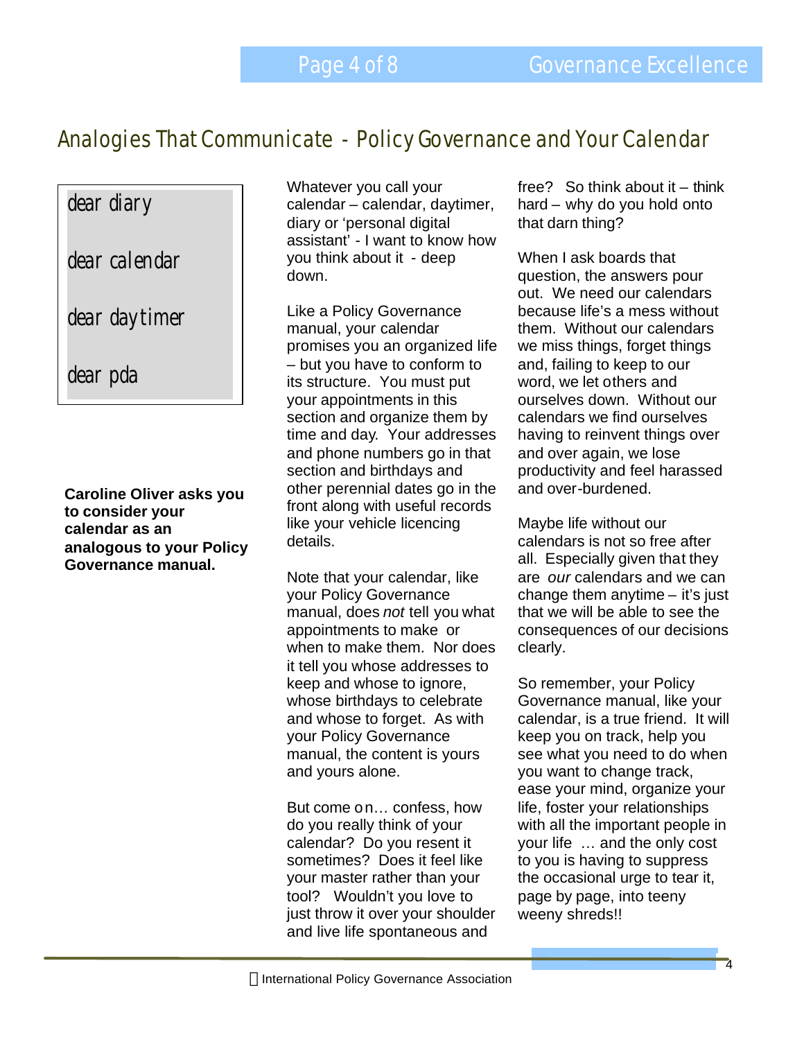Analogies That Communicate - Policy Governance and Your Calendar Governance Excellence

# dear diary

dear calendar

dear daytimer

dear pda

**Caroline Oliver asks you to consider your calendar as an analogous to your Policy Governance manual.**

Whatever you call your calendar – calendar, daytimer, diary or 'personal digital assistant' - I want to know how you think about it - deep down.

Like a Policy Governance manual, your calendar promises you an organized life – but you have to conform to its structure. You must put your appointments in this section and organize them by time and day. Your addresses and phone numbers go in that section and birthdays and other perennial dates go in the front along with useful records like your vehicle licencing details.

Note that your calendar, like your Policy Governance manual, does *not* tell you what appointments to make or when to make them. Nor does it tell you whose addresses to keep and whose to ignore, whose birthdays to celebrate and whose to forget. As with your Policy Governance manual, the content is yours and yours alone.

But come on… confess, how do you really think of your calendar? Do you resent it sometimes? Does it feel like your master rather than your tool? Wouldn't you love to just throw it over your shoulder and live life spontaneous and

free? So think about it – think hard – why do you hold onto that darn thing?

When I ask boards that question, the answers pour out. We need our calendars because life's a mess without them. Without our calendars we miss things, forget things and, failing to keep to our word, we let others and ourselves down. Without our calendars we find ourselves having to reinvent things over and over again, we lose productivity and feel harassed and over-burdened.

Maybe life without our calendars is not so free after all. Especially given that they are *our* calendars and we can change them anytime – it's just that we will be able to see the consequences of our decisions clearly.

So remember, your Policy Governance manual, like your calendar, is a true friend. It will keep you on track, help you see what you need to do when you want to change track, ease your mind, organize your life, foster your relationships with all the important people in your life … and the only cost to you is having to suppress the occasional urge to tear it, page by page, into teeny weeny shreds!!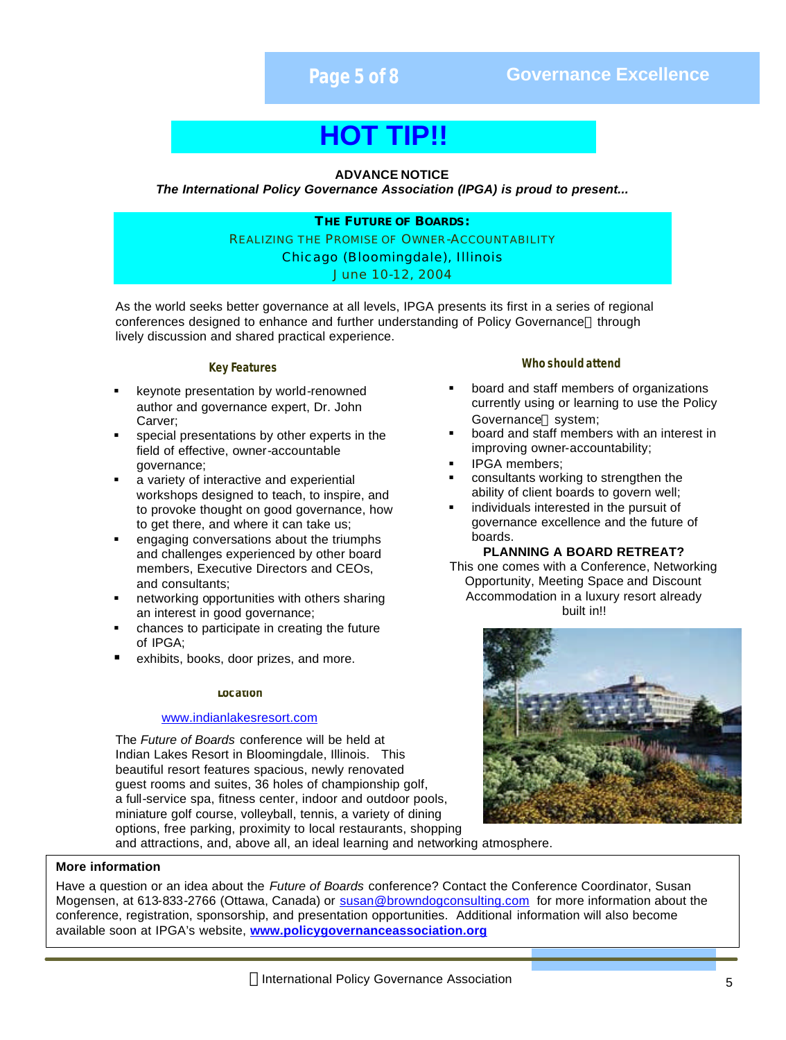**Page 5 of 8 Governance Excellence**

# **HOT TIP!!**

#### **ADVANCE NOTICE**

*The International Policy Governance Association (IPGA) is proud to present...*

**THE FUTURE OF BOARDS:** REALIZING THE PROMISE OF OWNER-ACCOUNTABILITY Chicago (Bloomingdale), Illinois *June 10-12, 2004*

As the world seeks better governance at all levels, IPGA presents its first in a series of regional conferences designed to enhance and further understanding of Policy Governance® through lively discussion and shared practical experience.

#### **Key Features**

- ß keynote presentation by world-renowned author and governance expert, Dr. John Carver;
- special presentations by other experts in the field of effective, owner-accountable governance;
- a variety of interactive and experiential workshops designed to teach, to inspire, and to provoke thought on good governance, how to get there, and where it can take us;
- ß engaging conversations about the triumphs and challenges experienced by other board members, Executive Directors and CEOs, and consultants;
- ß networking opportunities with others sharing an interest in good governance;
- ß chances to participate in creating the future of IPGA;
- exhibits, books, door prizes, and more.

#### **Location**

#### www.indianlakesresort.com

The *Future of Boards* conference will be held at Indian Lakes Resort in Bloomingdale, Illinois. This beautiful resort features spacious, newly renovated guest rooms and suites, 36 holes of championship golf, a full-service spa, fitness center, indoor and outdoor pools, miniature golf course, volleyball, tennis, a variety of dining options, free parking, proximity to local restaurants, shopping

#### **Who should attend**

- ß board and staff members of organizations currently using or learning to use the Policy Governance<sup>®</sup> system;
- ß board and staff members with an interest in improving owner-accountability;
- ß IPGA members;
- ß consultants working to strengthen the ability of client boards to govern well;
- ß individuals interested in the pursuit of governance excellence and the future of boards.

#### **PLANNING A BOARD RETREAT?**

This one comes with a Conference, Networking Opportunity, Meeting Space and Discount Accommodation in a luxury resort already built in!!



and attractions, and, above all, an ideal learning and networking atmosphere.

#### **More information**

Have a question or an idea about the *Future of Boards* conference? Contact the Conference Coordinator, Susan Mogensen, at 613-833-2766 (Ottawa, Canada) or susan@browndogconsulting.com for more information about the conference, registration, sponsorship, and presentation opportunities. Additional information will also become available soon at IPGA's website, **www.policygovernanceassociation.org**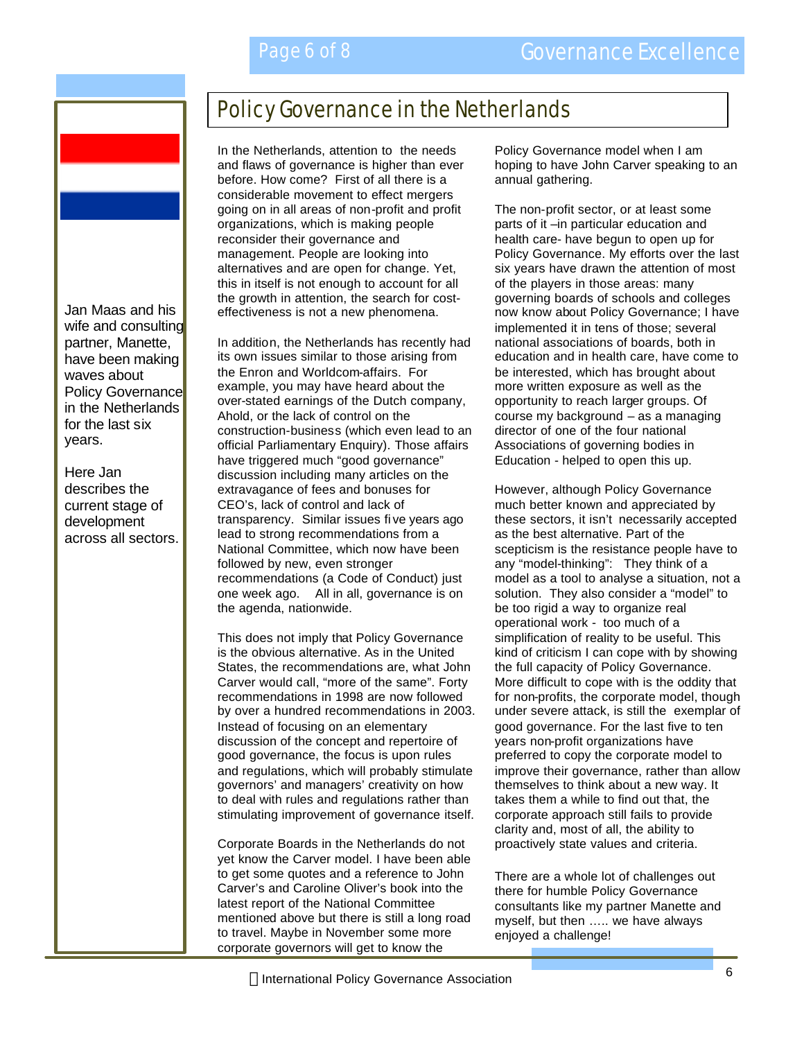

Jan Maas and his wife and consulting partner, Manette, have been making waves about Policy Governance in the Netherlands for the last six years.

Here Jan describes the current stage of development across all sectors.

# Policy Governance in the Netherlands

In the Netherlands, attention to the needs and flaws of governance is higher than ever before. How come? First of all there is a considerable movement to effect mergers going on in all areas of non-profit and profit organizations, which is making people reconsider their governance and management. People are looking into alternatives and are open for change. Yet, this in itself is not enough to account for all the growth in attention, the search for costeffectiveness is not a new phenomena.

In addition, the Netherlands has recently had its own issues similar to those arising from the Enron and Worldcom-affairs. For example, you may have heard about the over-stated earnings of the Dutch company, Ahold, or the lack of control on the construction-business (which even lead to an official Parliamentary Enquiry). Those affairs have triggered much "good governance" discussion including many articles on the extravagance of fees and bonuses for CEO's, lack of control and lack of transparency. Similar issues fi ve years ago lead to strong recommendations from a National Committee, which now have been followed by new, even stronger recommendations (a Code of Conduct) just one week ago. All in all, governance is on the agenda, nationwide.

This does not imply that Policy Governance is the obvious alternative. As in the United States, the recommendations are, what John Carver would call, "more of the same". Forty recommendations in 1998 are now followed by over a hundred recommendations in 2003. Instead of focusing on an elementary discussion of the concept and repertoire of good governance, the focus is upon rules and regulations, which will probably stimulate governors' and managers' creativity on how to deal with rules and regulations rather than stimulating improvement of governance itself.

Corporate Boards in the Netherlands do not yet know the Carver model. I have been able to get some quotes and a reference to John Carver's and Caroline Oliver's book into the latest report of the National Committee mentioned above but there is still a long road to travel. Maybe in November some more corporate governors will get to know the

Policy Governance model when I am hoping to have John Carver speaking to an annual gathering.

The non-profit sector, or at least some parts of it –in particular education and health care- have begun to open up for Policy Governance. My efforts over the last six years have drawn the attention of most of the players in those areas: many governing boards of schools and colleges now know about Policy Governance; I have implemented it in tens of those; several national associations of boards, both in education and in health care, have come to be interested, which has brought about more written exposure as well as the opportunity to reach larger groups. Of course my background – as a managing director of one of the four national Associations of governing bodies in Education - helped to open this up.

However, although Policy Governance much better known and appreciated by these sectors, it isn't necessarily accepted as the best alternative. Part of the scepticism is the resistance people have to any "model-thinking": They think of a model as a tool to analyse a situation, not a solution. They also consider a "model" to be too rigid a way to organize real operational work - too much of a simplification of reality to be useful. This kind of criticism I can cope with by showing the full capacity of Policy Governance. More difficult to cope with is the oddity that for non-profits, the corporate model, though under severe attack, is still the exemplar of good governance. For the last five to ten years non-profit organizations have preferred to copy the corporate model to improve their governance, rather than allow themselves to think about a new way. It takes them a while to find out that, the corporate approach still fails to provide clarity and, most of all, the ability to proactively state values and criteria.

There are a whole lot of challenges out there for humble Policy Governance consultants like my partner Manette and myself, but then ….. we have always enjoyed a challenge!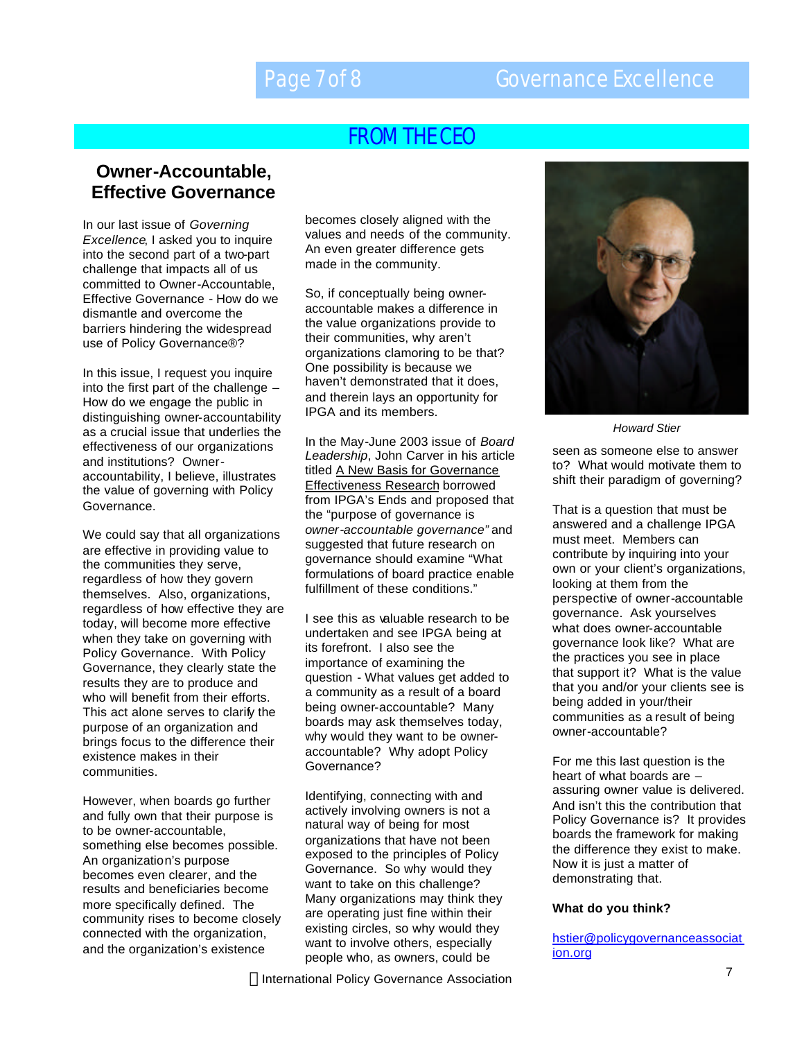# FROM THE CEO

### **Owner-Accountable, Effective Governance**

In our last issue of *Governing Excellence*, I asked you to inquire into the second part of a two-part challenge that impacts all of us committed to Owner-Accountable, Effective Governance - How do we dismantle and overcome the barriers hindering the widespread use of Policy Governance®?

In this issue, I request you inquire into the first part of the challenge – How do we engage the public in distinguishing owner-accountability as a crucial issue that underlies the effectiveness of our organizations and institutions? Owneraccountability, I believe, illustrates the value of governing with Policy Governance.

We could say that all organizations are effective in providing value to the communities they serve, regardless of how they govern themselves. Also, organizations, regardless of how effective they are today, will become more effective when they take on governing with Policy Governance. With Policy Governance, they clearly state the results they are to produce and who will benefit from their efforts. This act alone serves to clarify the purpose of an organization and brings focus to the difference their existence makes in their communities.

However, when boards go further and fully own that their purpose is to be owner-accountable, something else becomes possible. An organization's purpose becomes even clearer, and the results and beneficiaries become more specifically defined. The community rises to become closely connected with the organization, and the organization's existence

becomes closely aligned with the values and needs of the community. An even greater difference gets made in the community.

So, if conceptually being owneraccountable makes a difference in the value organizations provide to their communities, why aren't organizations clamoring to be that? One possibility is because we haven't demonstrated that it does, and therein lays an opportunity for IPGA and its members.

In the May-June 2003 issue of *Board Leadership*, John Carver in his article titled A New Basis for Governance Effectiveness Research borrowed from IPGA's Ends and proposed that the "purpose of governance is *owner-accountable governance"* and suggested that future research on governance should examine "What formulations of board practice enable fulfillment of these conditions."

I see this as valuable research to be undertaken and see IPGA being at its forefront. I also see the importance of examining the question - What values get added to a community as a result of a board being owner-accountable? Many boards may ask themselves today, why would they want to be owneraccountable? Why adopt Policy Governance?

Identifying, connecting with and actively involving owners is not a natural way of being for most organizations that have not been exposed to the principles of Policy Governance. So why would they want to take on this challenge? Many organizations may think they are operating just fine within their existing circles, so why would they want to involve others, especially people who, as owners, could be





*Howard Stier*

seen as someone else to answer to? What would motivate them to shift their paradigm of governing?

That is a question that must be answered and a challenge IPGA must meet. Members can contribute by inquiring into your own or your client's organizations, looking at them from the perspective of owner-accountable governance. Ask yourselves what does owner-accountable governance look like? What are the practices you see in place that support it? What is the value that you and/or your clients see is being added in your/their communities as a result of being owner-accountable?

For me this last question is the heart of what boards are – assuring owner value is delivered. And isn't this the contribution that Policy Governance is? It provides boards the framework for making the difference they exist to make. Now it is just a matter of demonstrating that.

#### **What do you think?**

hstier@policygovernanceassociat ion.org